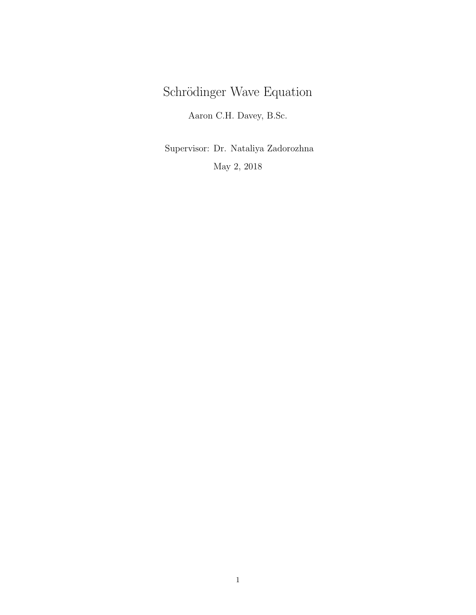# Schrödinger Wave Equation

Aaron C.H. Davey, B.Sc.

Supervisor: Dr. Nataliya Zadorozhna May 2, 2018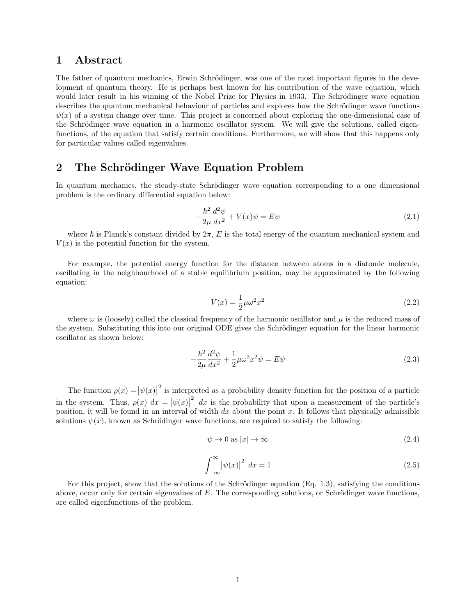#### 1 Abstract

The father of quantum mechanics, Erwin Schrödinger, was one of the most important figures in the development of quantum theory. He is perhaps best known for his contribution of the wave equation, which would later result in his winning of the Nobel Prize for Physics in 1933. The Schrödinger wave equation describes the quantum mechanical behaviour of particles and explores how the Schrödinger wave functions  $\psi(x)$  of a system change over time. This project is concerned about exploring the one-dimensional case of the Schrödinger wave equation in a harmonic oscillator system. We will give the solutions, called eigenfunctions, of the equation that satisfy certain conditions. Furthermore, we will show that this happens only for particular values called eigenvalues.

### 2 The Schrödinger Wave Equation Problem

In quantum mechanics, the steady-state Schrödinger wave equation corresponding to a one dimensional problem is the ordinary differential equation below:

$$
-\frac{\hbar^2}{2\mu}\frac{d^2\psi}{dx^2} + V(x)\psi = E\psi\tag{2.1}
$$

where  $\hbar$  is Planck's constant divided by  $2\pi$ , E is the total energy of the quantum mechanical system and  $V(x)$  is the potential function for the system.

For example, the potential energy function for the distance between atoms in a diatomic molecule, oscillating in the neighbourhood of a stable equilibrium position, may be approximated by the following equation:

$$
V(x) = \frac{1}{2}\mu\omega^2 x^2\tag{2.2}
$$

where  $\omega$  is (loosely) called the classical frequency of the harmonic oscillator and  $\mu$  is the reduced mass of the system. Substituting this into our original ODE gives the Schrödinger equation for the linear harmonic oscillator as shown below:

$$
-\frac{\hbar^2}{2\mu}\frac{d^2\psi}{dx^2} + \frac{1}{2}\mu\omega^2 x^2 \psi = E\psi
$$
\n(2.3)

The function  $\rho(x) = |\psi(x)|$ <sup>2</sup> is interpreted as a probability density function for the position of a particle in the system. Thus,  $\rho(x) dx = |\psi(x)|$  $\alpha$  dx is the probability that upon a measurement of the particle's position, it will be found in an interval of width  $dx$  about the point x. It follows that physically admissible solutions  $\psi(x)$ , known as Schrödinger wave functions, are required to satisfy the following:

$$
\psi \to 0 \text{ as } |x| \to \infty \tag{2.4}
$$

$$
\int_{-\infty}^{\infty} |\psi(x)|^2 dx = 1
$$
\n(2.5)

For this project, show that the solutions of the Schrödinger equation (Eq. 1.3), satisfying the conditions above, occur only for certain eigenvalues of  $E$ . The corresponding solutions, or Schrödinger wave functions, are called eigenfunctions of the problem.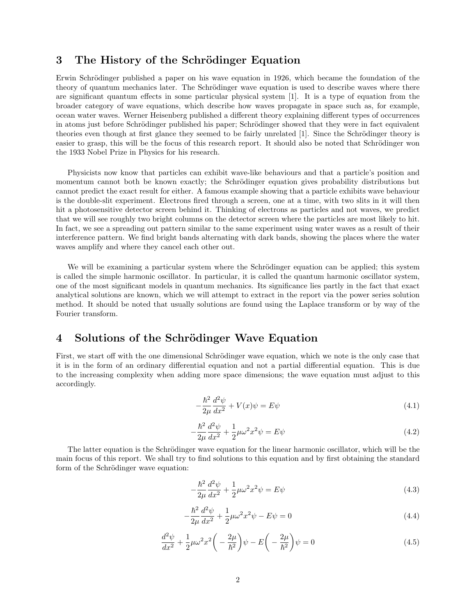#### 3 The History of the Schrödinger Equation

Erwin Schrödinger published a paper on his wave equation in 1926, which became the foundation of the theory of quantum mechanics later. The Schrödinger wave equation is used to describe waves where there are significant quantum effects in some particular physical system [1]. It is a type of equation from the broader category of wave equations, which describe how waves propagate in space such as, for example, ocean water waves. Werner Heisenberg published a different theory explaining different types of occurrences in atoms just before Schrödinger published his paper; Schrödinger showed that they were in fact equivalent theories even though at first glance they seemed to be fairly unrelated [1]. Since the Schrödinger theory is easier to grasp, this will be the focus of this research report. It should also be noted that Schrödinger won the 1933 Nobel Prize in Physics for his research.

Physicists now know that particles can exhibit wave-like behaviours and that a particle's position and momentum cannot both be known exactly; the Schrödinger equation gives probability distributions but cannot predict the exact result for either. A famous example showing that a particle exhibits wave behaviour is the double-slit experiment. Electrons fired through a screen, one at a time, with two slits in it will then hit a photosensitive detector screen behind it. Thinking of electrons as particles and not waves, we predict that we will see roughly two bright columns on the detector screen where the particles are most likely to hit. In fact, we see a spreading out pattern similar to the same experiment using water waves as a result of their interference pattern. We find bright bands alternating with dark bands, showing the places where the water waves amplify and where they cancel each other out.

We will be examining a particular system where the Schrödinger equation can be applied; this system is called the simple harmonic oscillator. In particular, it is called the quantum harmonic oscillator system, one of the most significant models in quantum mechanics. Its significance lies partly in the fact that exact analytical solutions are known, which we will attempt to extract in the report via the power series solution method. It should be noted that usually solutions are found using the Laplace transform or by way of the Fourier transform.

#### 4 Solutions of the Schrödinger Wave Equation

First, we start off with the one dimensional Schrödinger wave equation, which we note is the only case that it is in the form of an ordinary differential equation and not a partial differential equation. This is due to the increasing complexity when adding more space dimensions; the wave equation must adjust to this accordingly.

$$
-\frac{\hbar^2}{2\mu}\frac{d^2\psi}{dx^2} + V(x)\psi = E\psi\tag{4.1}
$$

$$
-\frac{\hbar^2}{2\mu}\frac{d^2\psi}{dx^2} + \frac{1}{2}\mu\omega^2 x^2 \psi = E\psi
$$
\n(4.2)

The latter equation is the Schrödinger wave equation for the linear harmonic oscillator, which will be the main focus of this report. We shall try to find solutions to this equation and by first obtaining the standard form of the Schrödinger wave equation:

$$
-\frac{\hbar^2}{2\mu}\frac{d^2\psi}{dx^2} + \frac{1}{2}\mu\omega^2 x^2 \psi = E\psi
$$
\n(4.3)

$$
-\frac{\hbar^2}{2\mu}\frac{d^2\psi}{dx^2} + \frac{1}{2}\mu\omega^2 x^2 \psi - E\psi = 0
$$
\n(4.4)

$$
\frac{d^2\psi}{dx^2} + \frac{1}{2}\mu\omega^2 x^2 \left(-\frac{2\mu}{\hbar^2}\right)\psi - E\left(-\frac{2\mu}{\hbar^2}\right)\psi = 0\tag{4.5}
$$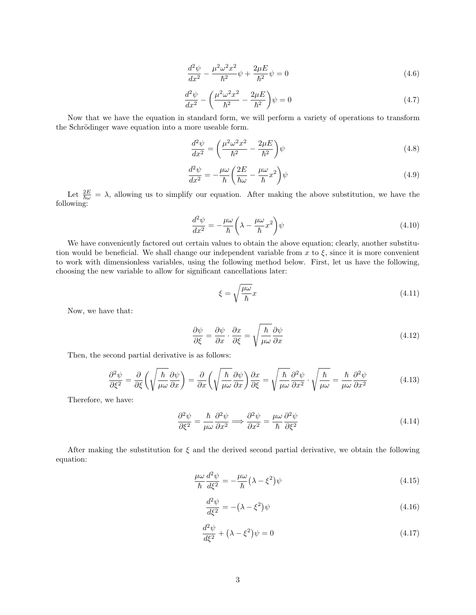$$
\frac{d^2\psi}{dx^2} - \frac{\mu^2 \omega^2 x^2}{\hbar^2} \psi + \frac{2\mu E}{\hbar^2} \psi = 0
$$
\n(4.6)

$$
\frac{d^2\psi}{dx^2} - \left(\frac{\mu^2 \omega^2 x^2}{\hbar^2} - \frac{2\mu E}{\hbar^2}\right)\psi = 0
$$
\n(4.7)

Now that we have the equation in standard form, we will perform a variety of operations to transform the Schrödinger wave equation into a more useable form.

$$
\frac{d^2\psi}{dx^2} = \left(\frac{\mu^2\omega^2x^2}{\hbar^2} - \frac{2\mu E}{\hbar^2}\right)\psi\tag{4.8}
$$

$$
\frac{d^2\psi}{dx^2} = -\frac{\mu\omega}{\hbar} \left(\frac{2E}{\hbar\omega} - \frac{\mu\omega}{\hbar}x^2\right)\psi\tag{4.9}
$$

Let  $\frac{2E}{\hbar\omega} = \lambda$ , allowing us to simplify our equation. After making the above substitution, we have the following:

$$
\frac{d^2\psi}{dx^2} = -\frac{\mu\omega}{\hbar} \left(\lambda - \frac{\mu\omega}{\hbar}x^2\right)\psi\tag{4.10}
$$

We have conveniently factored out certain values to obtain the above equation; clearly, another substitution would be beneficial. We shall change our independent variable from x to  $\xi$ , since it is more convenient to work with dimensionless variables, using the following method below. First, let us have the following, choosing the new variable to allow for significant cancellations later:

$$
\xi = \sqrt{\frac{\mu \omega}{\hbar}} x \tag{4.11}
$$

Now, we have that:

$$
\frac{\partial \psi}{\partial \xi} = \frac{\partial \psi}{\partial x} \cdot \frac{\partial x}{\partial \xi} = \sqrt{\frac{\hbar}{\mu \omega}} \frac{\partial \psi}{\partial x}
$$
(4.12)

Then, the second partial derivative is as follows:

$$
\frac{\partial^2 \psi}{\partial \xi^2} = \frac{\partial}{\partial \xi} \left( \sqrt{\frac{\hbar}{\mu \omega}} \frac{\partial \psi}{\partial x} \right) = \frac{\partial}{\partial x} \left( \sqrt{\frac{\hbar}{\mu \omega}} \frac{\partial \psi}{\partial x} \right) \frac{\partial x}{\partial \xi} = \sqrt{\frac{\hbar}{\mu \omega}} \frac{\partial^2 \psi}{\partial x^2} \cdot \sqrt{\frac{\hbar}{\mu \omega}} = \frac{\hbar}{\mu \omega} \frac{\partial^2 \psi}{\partial x^2}
$$
(4.13)

Therefore, we have:

$$
\frac{\partial^2 \psi}{\partial \xi^2} = \frac{\hbar}{\mu \omega} \frac{\partial^2 \psi}{\partial x^2} \Longrightarrow \frac{\partial^2 \psi}{\partial x^2} = \frac{\mu \omega}{\hbar} \frac{\partial^2 \psi}{\partial \xi^2}
$$
(4.14)

After making the substitution for  $\xi$  and the derived second partial derivative, we obtain the following equation:

$$
\frac{\mu\omega}{\hbar}\frac{d^2\psi}{d\xi^2} = -\frac{\mu\omega}{\hbar}\left(\lambda - \xi^2\right)\psi\tag{4.15}
$$

$$
\frac{d^2\psi}{d\xi^2} = -(\lambda - \xi^2)\psi\tag{4.16}
$$

$$
\frac{d^2\psi}{d\xi^2} + (\lambda - \xi^2)\psi = 0\tag{4.17}
$$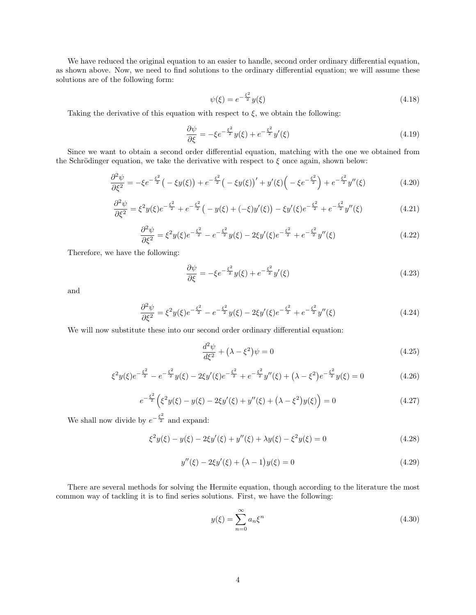We have reduced the original equation to an easier to handle, second order ordinary differential equation, as shown above. Now, we need to find solutions to the ordinary differential equation; we will assume these solutions are of the following form:

$$
\psi(\xi) = e^{-\frac{\xi^2}{2}} y(\xi) \tag{4.18}
$$

Taking the derivative of this equation with respect to  $\xi$ , we obtain the following:

$$
\frac{\partial \psi}{\partial \xi} = -\xi e^{-\frac{\xi^2}{2}} y(\xi) + e^{-\frac{\xi^2}{2}} y'(\xi)
$$
\n(4.19)

Since we want to obtain a second order differential equation, matching with the one we obtained from the Schrödinger equation, we take the derivative with respect to  $\xi$  once again, shown below:

$$
\frac{\partial^2 \psi}{\partial \xi^2} = -\xi e^{-\frac{\xi^2}{2}} \left( -\xi y(\xi) \right) + e^{-\frac{\xi^2}{2}} \left( -\xi y(\xi) \right)' + y'(\xi) \left( -\xi e^{-\frac{\xi^2}{2}} \right) + e^{-\frac{\xi^2}{2}} y''(\xi) \tag{4.20}
$$

$$
\frac{\partial^2 \psi}{\partial \xi^2} = \xi^2 y(\xi) e^{-\frac{\xi^2}{2}} + e^{-\frac{\xi^2}{2}} \left( -y(\xi) + (-\xi) y'(\xi) \right) - \xi y'(\xi) e^{-\frac{\xi^2}{2}} + e^{-\frac{\xi^2}{2}} y''(\xi) \tag{4.21}
$$

$$
\frac{\partial^2 \psi}{\partial \xi^2} = \xi^2 y(\xi) e^{-\frac{\xi^2}{2}} - e^{-\frac{\xi^2}{2}} y(\xi) - 2\xi y'(\xi) e^{-\frac{\xi^2}{2}} + e^{-\frac{\xi^2}{2}} y''(\xi)
$$
(4.22)

Therefore, we have the following:

$$
\frac{\partial \psi}{\partial \xi} = -\xi e^{-\frac{\xi^2}{2}} y(\xi) + e^{-\frac{\xi^2}{2}} y'(\xi)
$$
\n(4.23)

and

$$
\frac{\partial^2 \psi}{\partial \xi^2} = \xi^2 y(\xi) e^{-\frac{\xi^2}{2}} - e^{-\frac{\xi^2}{2}} y(\xi) - 2\xi y'(\xi) e^{-\frac{\xi^2}{2}} + e^{-\frac{\xi^2}{2}} y''(\xi)
$$
(4.24)

We will now substitute these into our second order ordinary differential equation:

$$
\frac{d^2\psi}{d\xi^2} + (\lambda - \xi^2)\psi = 0\tag{4.25}
$$

$$
\xi^2 y(\xi) e^{-\frac{\xi^2}{2}} - e^{-\frac{\xi^2}{2}} y(\xi) - 2\xi y'(\xi) e^{-\frac{\xi^2}{2}} + e^{-\frac{\xi^2}{2}} y''(\xi) + (\lambda - \xi^2) e^{-\frac{\xi^2}{2}} y(\xi) = 0
$$
\n(4.26)

$$
e^{-\frac{\xi^2}{2}}\left(\xi^2 y(\xi) - y(\xi) - 2\xi y'(\xi) + y''(\xi) + (\lambda - \xi^2)y(\xi)\right) = 0
$$
\n(4.27)

We shall now divide by  $e^{-\frac{\xi^2}{2}}$  and expand:

$$
\xi^2 y(\xi) - y(\xi) - 2\xi y'(\xi) + y''(\xi) + \lambda y(\xi) - \xi^2 y(\xi) = 0
$$
\n(4.28)

$$
y''(\xi) - 2\xi y'(\xi) + (\lambda - 1)y(\xi) = 0
$$
\n(4.29)

There are several methods for solving the Hermite equation, though according to the literature the most common way of tackling it is to find series solutions. First, we have the following:

$$
y(\xi) = \sum_{n=0}^{\infty} a_n \xi^n
$$
\n(4.30)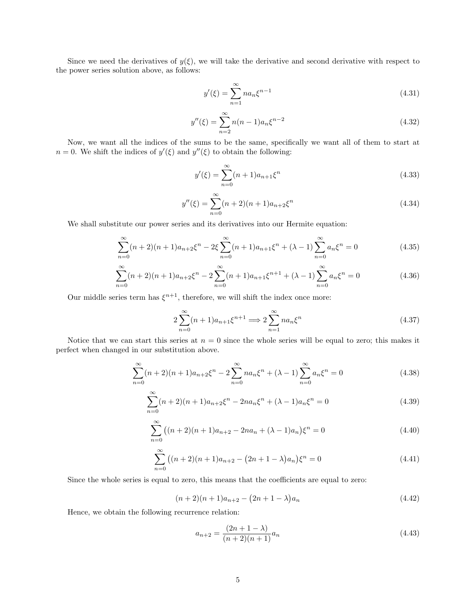Since we need the derivatives of  $y(\xi)$ , we will take the derivative and second derivative with respect to the power series solution above, as follows:

$$
y'(\xi) = \sum_{n=1}^{\infty} n a_n \xi^{n-1}
$$
\n(4.31)

$$
y''(\xi) = \sum_{n=2}^{\infty} n(n-1)a_n \xi^{n-2}
$$
\n(4.32)

Now, we want all the indices of the sums to be the same, specifically we want all of them to start at  $n = 0$ . We shift the indices of  $y'(\xi)$  and  $y''(\xi)$  to obtain the following:

$$
y'(\xi) = \sum_{n=0}^{\infty} (n+1)a_{n+1}\xi^n
$$
\n(4.33)

$$
y''(\xi) = \sum_{n=0}^{\infty} (n+2)(n+1)a_{n+2}\xi^n
$$
\n(4.34)

We shall substitute our power series and its derivatives into our Hermite equation:

$$
\sum_{n=0}^{\infty} (n+2)(n+1)a_{n+2}\xi^{n} - 2\xi \sum_{n=0}^{\infty} (n+1)a_{n+1}\xi^{n} + (\lambda - 1)\sum_{n=0}^{\infty} a_n \xi^{n} = 0
$$
\n(4.35)

$$
\sum_{n=0}^{\infty} (n+2)(n+1)a_{n+2}\xi^{n} - 2\sum_{n=0}^{\infty} (n+1)a_{n+1}\xi^{n+1} + (\lambda - 1)\sum_{n=0}^{\infty} a_n \xi^{n} = 0
$$
\n(4.36)

Our middle series term has  $\xi^{n+1}$ , therefore, we will shift the index once more:

$$
2\sum_{n=0}^{\infty} (n+1)a_{n+1}\xi^{n+1} \Longrightarrow 2\sum_{n=1}^{\infty} na_n\xi^n
$$
\n(4.37)

Notice that we can start this series at  $n = 0$  since the whole series will be equal to zero; this makes it perfect when changed in our substitution above.

$$
\sum_{n=0}^{\infty} (n+2)(n+1)a_{n+2}\xi^n - 2\sum_{n=0}^{\infty} na_n\xi^n + (\lambda - 1)\sum_{n=0}^{\infty} a_n\xi^n = 0
$$
\n(4.38)

$$
\sum_{n=0}^{\infty} (n+2)(n+1)a_{n+2}\xi^n - 2na_n\xi^n + (\lambda - 1)a_n\xi^n = 0
$$
\n(4.39)

$$
\sum_{n=0}^{\infty} \left( (n+2)(n+1)a_{n+2} - 2na_n + (\lambda - 1)a_n \right) \xi^n = 0 \tag{4.40}
$$

$$
\sum_{n=0}^{\infty} \left( (n+2)(n+1)a_{n+2} - (2n+1-\lambda)a_n \right) \xi^n = 0 \tag{4.41}
$$

Since the whole series is equal to zero, this means that the coefficients are equal to zero:

$$
(n+2)(n+1)a_{n+2} - (2n+1-\lambda)a_n \tag{4.42}
$$

Hence, we obtain the following recurrence relation:

$$
a_{n+2} = \frac{(2n+1-\lambda)}{(n+2)(n+1)} a_n \tag{4.43}
$$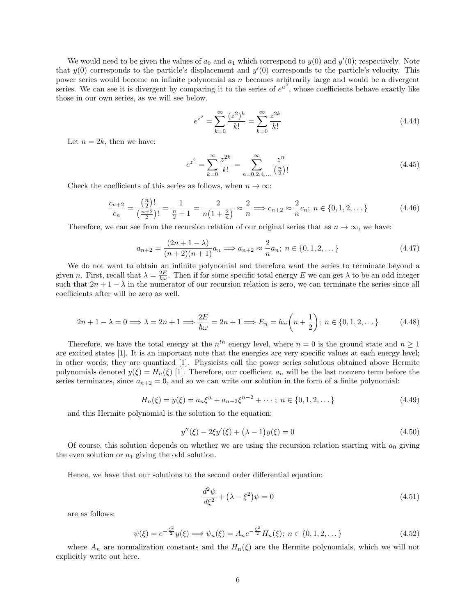We would need to be given the values of  $a_0$  and  $a_1$  which correspond to  $y(0)$  and  $y'(0)$ ; respectively. Note that  $y(0)$  corresponds to the particle's displacement and  $y'(0)$  corresponds to the particle's velocity. This power series would become an infinite polynomial as n becomes arbitrarily large and would be a divergent series. We can see it is divergent by comparing it to the series of  $e^{u^2}$ , whose coefficients behave exactly like those in our own series, as we will see below.

$$
e^{z^2} = \sum_{k=0}^{\infty} \frac{(z^2)^k}{k!} = \sum_{k=0}^{\infty} \frac{z^{2k}}{k!}
$$
 (4.44)

Let  $n = 2k$ , then we have:

$$
e^{z^2} = \sum_{k=0}^{\infty} \frac{z^{2k}}{k!} = \sum_{n=0,2,4,...}^{\infty} \frac{z^n}{\left(\frac{n}{2}\right)!}
$$
(4.45)

Check the coefficients of this series as follows, when  $n \to \infty$ :

$$
\frac{c_{n+2}}{c_n} = \frac{\left(\frac{n}{2}\right)!}{\left(\frac{n+2}{2}\right)!} = \frac{1}{\frac{n}{2}+1} = \frac{2}{n\left(1+\frac{2}{n}\right)} \approx \frac{2}{n} \Longrightarrow c_{n+2} \approx \frac{2}{n} c_n; \ n \in \{0, 1, 2, \dots\}
$$
\n(4.46)

Therefore, we can see from the recursion relation of our original series that as  $n \to \infty$ , we have:

$$
a_{n+2} = \frac{(2n+1-\lambda)}{(n+2)(n+1)} a_n \Longrightarrow a_{n+2} \approx \frac{2}{n} a_n; \ n \in \{0, 1, 2, \dots\}
$$
\n(4.47)

We do not want to obtain an infinite polynomial and therefore want the series to terminate beyond a given n. First, recall that  $\lambda = \frac{2E}{\hbar \omega}$ . Then if for some specific total energy E we can get  $\lambda$  to be an odd integer such that  $2n + 1 - \lambda$  in the numerator of our recursion relation is zero, we can terminate the series since all coefficients after will be zero as well.

$$
2n + 1 - \lambda = 0 \Longrightarrow \lambda = 2n + 1 \Longrightarrow \frac{2E}{\hbar\omega} = 2n + 1 \Longrightarrow E_n = \hbar\omega\left(n + \frac{1}{2}\right); \ n \in \{0, 1, 2, \dots\} \tag{4.48}
$$

Therefore, we have the total energy at the  $n^{th}$  energy level, where  $n = 0$  is the ground state and  $n \ge 1$ are excited states [1]. It is an important note that the energies are very specific values at each energy level; in other words, they are quantized [1]. Physicists call the power series solutions obtained above Hermite polynomials denoted  $y(\xi) = H_n(\xi)$  [1]. Therefore, our coefficient  $a_n$  will be the last nonzero term before the series terminates, since  $a_{n+2} = 0$ , and so we can write our solution in the form of a finite polynomial:

$$
H_n(\xi) = y(\xi) = a_n \xi^n + a_{n-2} \xi^{n-2} + \dots; \ n \in \{0, 1, 2, \dots\}
$$
\n(4.49)

and this Hermite polynomial is the solution to the equation:

$$
y''(\xi) - 2\xi y'(\xi) + (\lambda - 1)y(\xi) = 0
$$
\n(4.50)

Of course, this solution depends on whether we are using the recursion relation starting with  $a_0$  giving the even solution or  $a_1$  giving the odd solution.

Hence, we have that our solutions to the second order differential equation:

$$
\frac{d^2\psi}{d\xi^2} + (\lambda - \xi^2)\psi = 0\tag{4.51}
$$

are as follows:

$$
\psi(\xi) = e^{-\frac{\xi^2}{2}} y(\xi) \Longrightarrow \psi_n(\xi) = A_n e^{-\frac{\xi^2}{2}} H_n(\xi); \ n \in \{0, 1, 2, \dots\}
$$
\n(4.52)

where  $A_n$  are normalization constants and the  $H_n(\xi)$  are the Hermite polynomials, which we will not explicitly write out here.